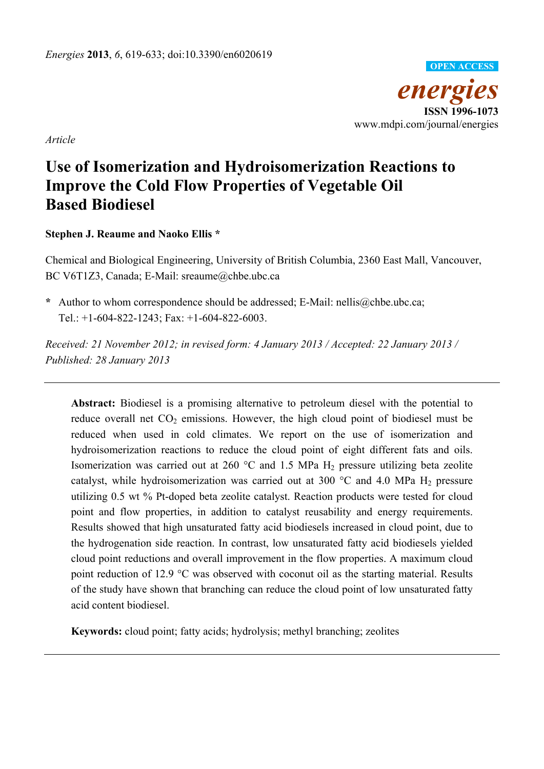

*Article* 

# **Use of Isomerization and Hydroisomerization Reactions to Improve the Cold Flow Properties of Vegetable Oil Based Biodiesel**

**Stephen J. Reaume and Naoko Ellis \*** 

Chemical and Biological Engineering, University of British Columbia, 2360 East Mall, Vancouver, BC V6T1Z3, Canada; E-Mail: sreaume@chbe.ubc.ca

**\*** Author to whom correspondence should be addressed; E-Mail: nellis@chbe.ubc.ca; Tel.: +1-604-822-1243; Fax: +1-604-822-6003.

*Received: 21 November 2012; in revised form: 4 January 2013 / Accepted: 22 January 2013 / Published: 28 January 2013* 

**Abstract:** Biodiesel is a promising alternative to petroleum diesel with the potential to reduce overall net  $CO<sub>2</sub>$  emissions. However, the high cloud point of biodiesel must be reduced when used in cold climates. We report on the use of isomerization and hydroisomerization reactions to reduce the cloud point of eight different fats and oils. Isomerization was carried out at 260  $^{\circ}$ C and 1.5 MPa H<sub>2</sub> pressure utilizing beta zeolite catalyst, while hydroisomerization was carried out at 300  $^{\circ}$ C and 4.0 MPa H<sub>2</sub> pressure utilizing 0.5 wt % Pt-doped beta zeolite catalyst. Reaction products were tested for cloud point and flow properties, in addition to catalyst reusability and energy requirements. Results showed that high unsaturated fatty acid biodiesels increased in cloud point, due to the hydrogenation side reaction. In contrast, low unsaturated fatty acid biodiesels yielded cloud point reductions and overall improvement in the flow properties. A maximum cloud point reduction of 12.9  $\degree$ C was observed with coconut oil as the starting material. Results of the study have shown that branching can reduce the cloud point of low unsaturated fatty acid content biodiesel.

**Keywords:** cloud point; fatty acids; hydrolysis; methyl branching; zeolites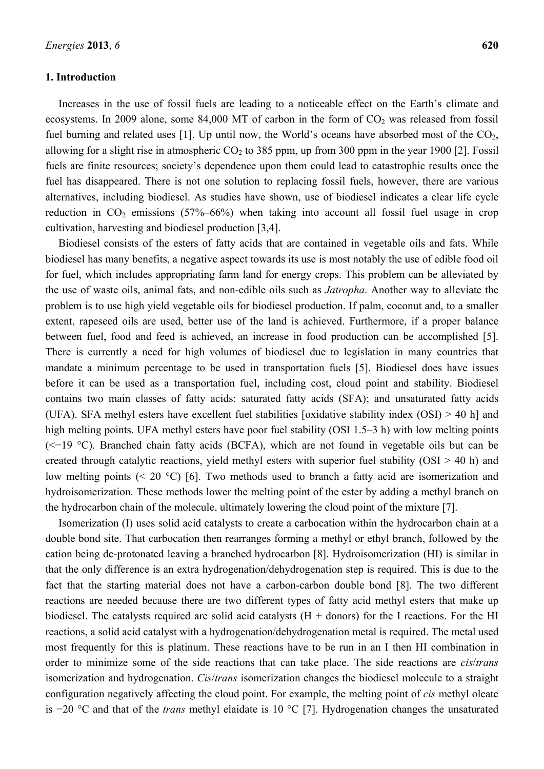## **1. Introduction**

Increases in the use of fossil fuels are leading to a noticeable effect on the Earth's climate and ecosystems. In 2009 alone, some  $84,000$  MT of carbon in the form of  $CO<sub>2</sub>$  was released from fossil fuel burning and related uses [1]. Up until now, the World's oceans have absorbed most of the  $CO<sub>2</sub>$ , allowing for a slight rise in atmospheric CO<sub>2</sub> to 385 ppm, up from 300 ppm in the year 1900 [2]. Fossil fuels are finite resources; society's dependence upon them could lead to catastrophic results once the fuel has disappeared. There is not one solution to replacing fossil fuels, however, there are various alternatives, including biodiesel. As studies have shown, use of biodiesel indicates a clear life cycle reduction in  $CO<sub>2</sub>$  emissions (57%–66%) when taking into account all fossil fuel usage in crop cultivation, harvesting and biodiesel production [3,4].

Biodiesel consists of the esters of fatty acids that are contained in vegetable oils and fats. While biodiesel has many benefits, a negative aspect towards its use is most notably the use of edible food oil for fuel, which includes appropriating farm land for energy crops. This problem can be alleviated by the use of waste oils, animal fats, and non-edible oils such as *Jatropha*. Another way to alleviate the problem is to use high yield vegetable oils for biodiesel production. If palm, coconut and, to a smaller extent, rapeseed oils are used, better use of the land is achieved. Furthermore, if a proper balance between fuel, food and feed is achieved, an increase in food production can be accomplished [5]. There is currently a need for high volumes of biodiesel due to legislation in many countries that mandate a minimum percentage to be used in transportation fuels [5]. Biodiesel does have issues before it can be used as a transportation fuel, including cost, cloud point and stability. Biodiesel contains two main classes of fatty acids: saturated fatty acids (SFA); and unsaturated fatty acids (UFA). SFA methyl esters have excellent fuel stabilities [oxidative stability index (OSI) > 40 h] and high melting points. UFA methyl esters have poor fuel stability (OSI 1.5–3 h) with low melting points (<−19 C). Branched chain fatty acids (BCFA), which are not found in vegetable oils but can be created through catalytic reactions, yield methyl esters with superior fuel stability  $(OSI > 40 h)$  and low melting points (< 20 °C) [6]. Two methods used to branch a fatty acid are isomerization and hydroisomerization. These methods lower the melting point of the ester by adding a methyl branch on the hydrocarbon chain of the molecule, ultimately lowering the cloud point of the mixture [7].

Isomerization (I) uses solid acid catalysts to create a carbocation within the hydrocarbon chain at a double bond site. That carbocation then rearranges forming a methyl or ethyl branch, followed by the cation being de-protonated leaving a branched hydrocarbon [8]. Hydroisomerization (HI) is similar in that the only difference is an extra hydrogenation/dehydrogenation step is required. This is due to the fact that the starting material does not have a carbon-carbon double bond [8]. The two different reactions are needed because there are two different types of fatty acid methyl esters that make up biodiesel. The catalysts required are solid acid catalysts  $(H +$  donors) for the I reactions. For the HI reactions, a solid acid catalyst with a hydrogenation/dehydrogenation metal is required. The metal used most frequently for this is platinum. These reactions have to be run in an I then HI combination in order to minimize some of the side reactions that can take place. The side reactions are *cis*/*trans* isomerization and hydrogenation. *Cis*/*trans* isomerization changes the biodiesel molecule to a straight configuration negatively affecting the cloud point. For example, the melting point of *cis* methyl oleate is −20 °C and that of the *trans* methyl elaidate is 10 °C [7]. Hydrogenation changes the unsaturated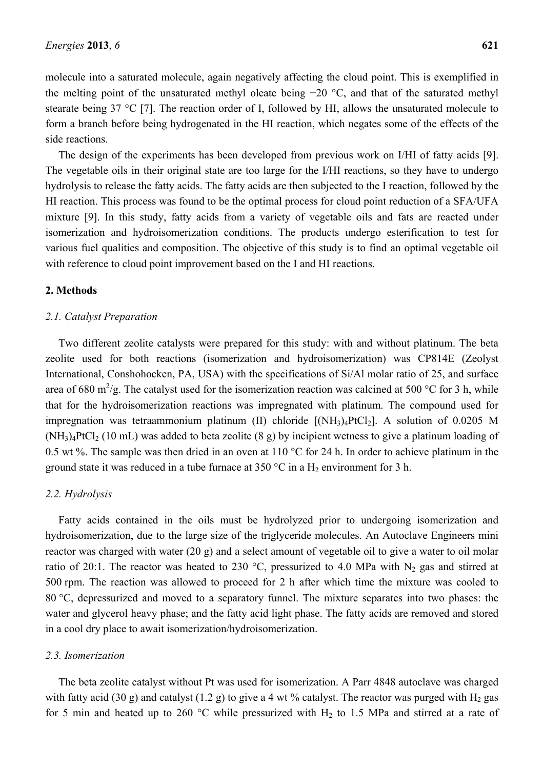molecule into a saturated molecule, again negatively affecting the cloud point. This is exemplified in the melting point of the unsaturated methyl oleate being  $-20$  °C, and that of the saturated methyl stearate being 37 °C [7]. The reaction order of I, followed by HI, allows the unsaturated molecule to form a branch before being hydrogenated in the HI reaction, which negates some of the effects of the side reactions.

The design of the experiments has been developed from previous work on I/HI of fatty acids [9]. The vegetable oils in their original state are too large for the I/HI reactions, so they have to undergo hydrolysis to release the fatty acids. The fatty acids are then subjected to the I reaction, followed by the HI reaction. This process was found to be the optimal process for cloud point reduction of a SFA/UFA mixture [9]. In this study, fatty acids from a variety of vegetable oils and fats are reacted under isomerization and hydroisomerization conditions. The products undergo esterification to test for various fuel qualities and composition. The objective of this study is to find an optimal vegetable oil with reference to cloud point improvement based on the I and HI reactions.

## **2. Methods**

#### *2.1. Catalyst Preparation*

Two different zeolite catalysts were prepared for this study: with and without platinum. The beta zeolite used for both reactions (isomerization and hydroisomerization) was CP814E (Zeolyst International, Conshohocken, PA, USA) with the specifications of Si/Al molar ratio of 25, and surface area of 680 m<sup>2</sup>/g. The catalyst used for the isomerization reaction was calcined at 500 °C for 3 h, while that for the hydroisomerization reactions was impregnated with platinum. The compound used for impregnation was tetraammonium platinum (II) chloride  $[(NH<sub>3</sub>)<sub>4</sub>PtCl<sub>2</sub>]$ . A solution of 0.0205 M  $(NH<sub>3</sub>)<sub>4</sub>PtCl<sub>2</sub>$  (10 mL) was added to beta zeolite (8 g) by incipient wetness to give a platinum loading of 0.5 wt %. The sample was then dried in an oven at 110  $\degree$ C for 24 h. In order to achieve platinum in the ground state it was reduced in a tube furnace at 350 °C in a  $H_2$  environment for 3 h.

#### *2.2. Hydrolysis*

Fatty acids contained in the oils must be hydrolyzed prior to undergoing isomerization and hydroisomerization, due to the large size of the triglyceride molecules. An Autoclave Engineers mini reactor was charged with water (20 g) and a select amount of vegetable oil to give a water to oil molar ratio of 20:1. The reactor was heated to 230 °C, pressurized to 4.0 MPa with  $N_2$  gas and stirred at 500 rpm. The reaction was allowed to proceed for 2 h after which time the mixture was cooled to 80 °C, depressurized and moved to a separatory funnel. The mixture separates into two phases: the water and glycerol heavy phase; and the fatty acid light phase. The fatty acids are removed and stored in a cool dry place to await isomerization/hydroisomerization.

#### *2.3. Isomerization*

The beta zeolite catalyst without Pt was used for isomerization. A Parr 4848 autoclave was charged with fatty acid (30 g) and catalyst (1.2 g) to give a 4 wt % catalyst. The reactor was purged with  $H_2$  gas for 5 min and heated up to 260 °C while pressurized with  $H_2$  to 1.5 MPa and stirred at a rate of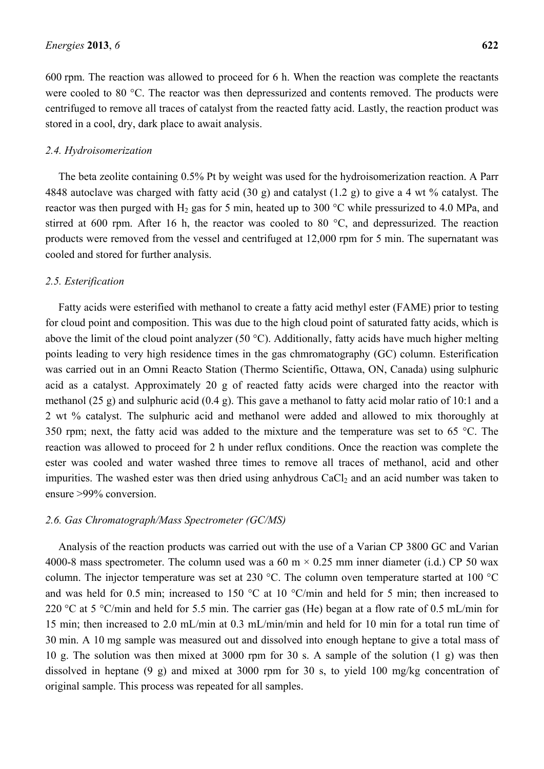600 rpm. The reaction was allowed to proceed for 6 h. When the reaction was complete the reactants were cooled to 80 °C. The reactor was then depressurized and contents removed. The products were centrifuged to remove all traces of catalyst from the reacted fatty acid. Lastly, the reaction product was stored in a cool, dry, dark place to await analysis.

#### *2.4. Hydroisomerization*

The beta zeolite containing 0.5% Pt by weight was used for the hydroisomerization reaction. A Parr 4848 autoclave was charged with fatty acid (30 g) and catalyst (1.2 g) to give a 4 wt % catalyst. The reactor was then purged with  $H_2$  gas for 5 min, heated up to 300 °C while pressurized to 4.0 MPa, and stirred at 600 rpm. After 16 h, the reactor was cooled to 80  $^{\circ}$ C, and depressurized. The reaction products were removed from the vessel and centrifuged at 12,000 rpm for 5 min. The supernatant was cooled and stored for further analysis.

#### *2.5. Esterification*

Fatty acids were esterified with methanol to create a fatty acid methyl ester (FAME) prior to testing for cloud point and composition. This was due to the high cloud point of saturated fatty acids, which is above the limit of the cloud point analyzer (50 °C). Additionally, fatty acids have much higher melting points leading to very high residence times in the gas chmromatography (GC) column. Esterification was carried out in an Omni Reacto Station (Thermo Scientific, Ottawa, ON, Canada) using sulphuric acid as a catalyst. Approximately 20 g of reacted fatty acids were charged into the reactor with methanol (25 g) and sulphuric acid (0.4 g). This gave a methanol to fatty acid molar ratio of 10:1 and a 2 wt % catalyst. The sulphuric acid and methanol were added and allowed to mix thoroughly at 350 rpm; next, the fatty acid was added to the mixture and the temperature was set to 65  $^{\circ}$ C. The reaction was allowed to proceed for 2 h under reflux conditions. Once the reaction was complete the ester was cooled and water washed three times to remove all traces of methanol, acid and other impurities. The washed ester was then dried using anhydrous  $CaCl<sub>2</sub>$  and an acid number was taken to ensure >99% conversion.

#### *2.6. Gas Chromatograph/Mass Spectrometer (GC/MS)*

Analysis of the reaction products was carried out with the use of a Varian CP 3800 GC and Varian 4000-8 mass spectrometer. The column used was a 60 m  $\times$  0.25 mm inner diameter (i.d.) CP 50 wax column. The injector temperature was set at 230 °C. The column oven temperature started at 100 °C and was held for 0.5 min; increased to 150  $\degree$ C at 10  $\degree$ C/min and held for 5 min; then increased to 220 °C at 5 °C/min and held for 5.5 min. The carrier gas (He) began at a flow rate of 0.5 mL/min for 15 min; then increased to 2.0 mL/min at 0.3 mL/min/min and held for 10 min for a total run time of 30 min. A 10 mg sample was measured out and dissolved into enough heptane to give a total mass of 10 g. The solution was then mixed at 3000 rpm for 30 s. A sample of the solution (1 g) was then dissolved in heptane (9 g) and mixed at 3000 rpm for 30 s, to yield 100 mg/kg concentration of original sample. This process was repeated for all samples.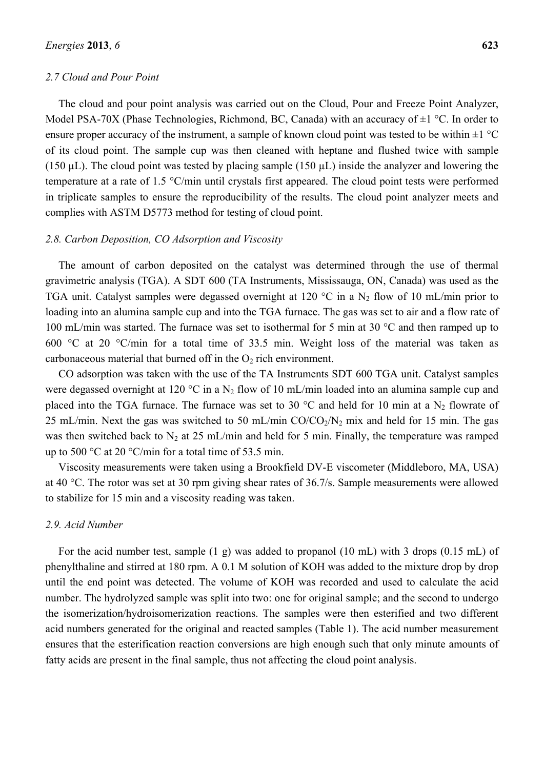### *2.7 Cloud and Pour Point*

The cloud and pour point analysis was carried out on the Cloud, Pour and Freeze Point Analyzer, Model PSA-70X (Phase Technologies, Richmond, BC, Canada) with an accuracy of  $\pm 1$  °C. In order to ensure proper accuracy of the instrument, a sample of known cloud point was tested to be within  $\pm 1^{\circ}$ C of its cloud point. The sample cup was then cleaned with heptane and flushed twice with sample (150  $\mu$ L). The cloud point was tested by placing sample (150  $\mu$ L) inside the analyzer and lowering the temperature at a rate of 1.5  $\degree$ C/min until crystals first appeared. The cloud point tests were performed in triplicate samples to ensure the reproducibility of the results. The cloud point analyzer meets and complies with ASTM D5773 method for testing of cloud point.

### *2.8. Carbon Deposition, CO Adsorption and Viscosity*

The amount of carbon deposited on the catalyst was determined through the use of thermal gravimetric analysis (TGA). A SDT 600 (TA Instruments, Mississauga, ON, Canada) was used as the TGA unit. Catalyst samples were degassed overnight at 120 °C in a  $N_2$  flow of 10 mL/min prior to loading into an alumina sample cup and into the TGA furnace. The gas was set to air and a flow rate of 100 mL/min was started. The furnace was set to isothermal for 5 min at 30  $^{\circ}$ C and then ramped up to 600 °C at 20 °C/min for a total time of 33.5 min. Weight loss of the material was taken as carbonaceous material that burned off in the  $O<sub>2</sub>$  rich environment.

CO adsorption was taken with the use of the TA Instruments SDT 600 TGA unit. Catalyst samples were degassed overnight at 120 °C in a  $N_2$  flow of 10 mL/min loaded into an alumina sample cup and placed into the TGA furnace. The furnace was set to 30  $^{\circ}$ C and held for 10 min at a N<sub>2</sub> flowrate of 25 mL/min. Next the gas was switched to 50 mL/min  $CO/CO<sub>2</sub>/N<sub>2</sub>$  mix and held for 15 min. The gas was then switched back to  $N_2$  at 25 mL/min and held for 5 min. Finally, the temperature was ramped up to 500  $\degree$ C at 20  $\degree$ C/min for a total time of 53.5 min.

Viscosity measurements were taken using a Brookfield DV-E viscometer (Middleboro, MA, USA) at 40 °C. The rotor was set at 30 rpm giving shear rates of 36.7/s. Sample measurements were allowed to stabilize for 15 min and a viscosity reading was taken.

# *2.9. Acid Number*

For the acid number test, sample (1 g) was added to propanol (10 mL) with 3 drops (0.15 mL) of phenylthaline and stirred at 180 rpm. A 0.1 M solution of KOH was added to the mixture drop by drop until the end point was detected. The volume of KOH was recorded and used to calculate the acid number. The hydrolyzed sample was split into two: one for original sample; and the second to undergo the isomerization/hydroisomerization reactions. The samples were then esterified and two different acid numbers generated for the original and reacted samples (Table 1). The acid number measurement ensures that the esterification reaction conversions are high enough such that only minute amounts of fatty acids are present in the final sample, thus not affecting the cloud point analysis.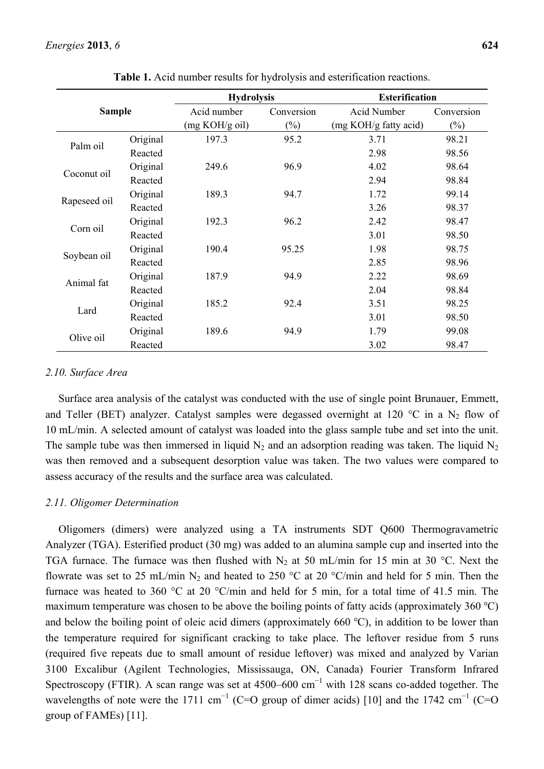# *Energies* **2013**, *6* **624**

| <b>Sample</b>                     |          | <b>Hydrolysis</b> |            | <b>Esterification</b> |            |  |
|-----------------------------------|----------|-------------------|------------|-----------------------|------------|--|
|                                   |          | Acid number       | Conversion | <b>Acid Number</b>    | Conversion |  |
|                                   |          | (mg KOH/g oil)    | $(\%)$     | (mg KOH/g fatty acid) | $(\%)$     |  |
| Palm oil                          | Original | 197.3             | 95.2       | 3.71                  | 98.21      |  |
|                                   | Reacted  |                   |            | 2.98                  | 98.56      |  |
| Coconut oil                       | Original | 249.6             | 96.9       | 4.02                  | 98.64      |  |
|                                   | Reacted  |                   |            | 2.94                  | 98.84      |  |
| Rapeseed oil                      | Original | 189.3             | 94.7       | 1.72                  | 99.14      |  |
|                                   | Reacted  |                   |            | 3.26                  | 98.37      |  |
|                                   | Original | 192.3             | 96.2       | 2.42                  | 98.47      |  |
| Corn oil                          | Reacted  |                   |            | 3.01                  | 98.50      |  |
| Soybean oil                       | Original | 190.4             | 95.25      | 1.98                  | 98.75      |  |
|                                   | Reacted  |                   |            | 2.85                  | 98.96      |  |
| Original<br>Animal fat<br>Reacted |          | 187.9             | 94.9       | 2.22                  | 98.69      |  |
|                                   |          |                   | 2.04       | 98.84                 |            |  |
|                                   | Original | 185.2             | 92.4       | 3.51                  | 98.25      |  |
| Lard                              | Reacted  |                   |            | 3.01                  | 98.50      |  |
|                                   | Original | 189.6             | 94.9       | 1.79                  | 99.08      |  |
| Olive oil                         | Reacted  |                   |            | 3.02                  | 98.47      |  |

**Table 1.** Acid number results for hydrolysis and esterification reactions.

### *2.10. Surface Area*

Surface area analysis of the catalyst was conducted with the use of single point Brunauer, Emmett, and Teller (BET) analyzer. Catalyst samples were degassed overnight at 120 °C in a N<sub>2</sub> flow of 10 mL/min. A selected amount of catalyst was loaded into the glass sample tube and set into the unit. The sample tube was then immersed in liquid  $N_2$  and an adsorption reading was taken. The liquid  $N_2$ was then removed and a subsequent desorption value was taken. The two values were compared to assess accuracy of the results and the surface area was calculated.

# *2.11. Oligomer Determination*

Oligomers (dimers) were analyzed using a TA instruments SDT Q600 Thermogravametric Analyzer (TGA). Esterified product (30 mg) was added to an alumina sample cup and inserted into the TGA furnace. The furnace was then flushed with  $N_2$  at 50 mL/min for 15 min at 30 °C. Next the flowrate was set to 25 mL/min N<sub>2</sub> and heated to 250 °C at 20 °C/min and held for 5 min. Then the furnace was heated to 360 °C at 20 °C/min and held for 5 min, for a total time of 41.5 min. The maximum temperature was chosen to be above the boiling points of fatty acids (approximately 360  $^{\circ}$ C) and below the boiling point of oleic acid dimers (approximately 660 °C), in addition to be lower than the temperature required for significant cracking to take place. The leftover residue from 5 runs (required five repeats due to small amount of residue leftover) was mixed and analyzed by Varian 3100 Excalibur (Agilent Technologies, Mississauga, ON, Canada) Fourier Transform Infrared Spectroscopy (FTIR). A scan range was set at  $4500-600$  cm<sup>-1</sup> with 128 scans co-added together. The wavelengths of note were the 1711 cm<sup>-1</sup> (C=O group of dimer acids) [10] and the 1742 cm<sup>-1</sup> (C=O group of FAMEs) [11].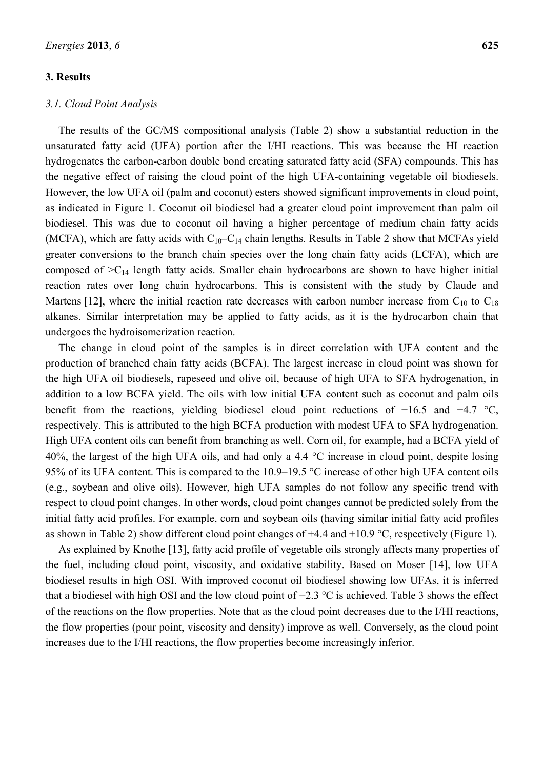# **3. Results**

#### *3.1. Cloud Point Analysis*

The results of the GC/MS compositional analysis (Table 2) show a substantial reduction in the unsaturated fatty acid (UFA) portion after the I/HI reactions. This was because the HI reaction hydrogenates the carbon-carbon double bond creating saturated fatty acid (SFA) compounds. This has the negative effect of raising the cloud point of the high UFA-containing vegetable oil biodiesels. However, the low UFA oil (palm and coconut) esters showed significant improvements in cloud point, as indicated in Figure 1. Coconut oil biodiesel had a greater cloud point improvement than palm oil biodiesel. This was due to coconut oil having a higher percentage of medium chain fatty acids (MCFA), which are fatty acids with  $C_{10}-C_{14}$  chain lengths. Results in Table 2 show that MCFAs yield greater conversions to the branch chain species over the long chain fatty acids (LCFA), which are composed of  $>C_{14}$  length fatty acids. Smaller chain hydrocarbons are shown to have higher initial reaction rates over long chain hydrocarbons. This is consistent with the study by Claude and Martens [12], where the initial reaction rate decreases with carbon number increase from  $C_{10}$  to  $C_{18}$ alkanes. Similar interpretation may be applied to fatty acids, as it is the hydrocarbon chain that undergoes the hydroisomerization reaction.

The change in cloud point of the samples is in direct correlation with UFA content and the production of branched chain fatty acids (BCFA). The largest increase in cloud point was shown for the high UFA oil biodiesels, rapeseed and olive oil, because of high UFA to SFA hydrogenation, in addition to a low BCFA yield. The oils with low initial UFA content such as coconut and palm oils benefit from the reactions, yielding biodiesel cloud point reductions of −16.5 and −4.7 °C, respectively. This is attributed to the high BCFA production with modest UFA to SFA hydrogenation. High UFA content oils can benefit from branching as well. Corn oil, for example, had a BCFA yield of 40%, the largest of the high UFA oils, and had only a 4.4  $\degree$ C increase in cloud point, despite losing 95% of its UFA content. This is compared to the  $10.9-19.5$  °C increase of other high UFA content oils (e.g., soybean and olive oils). However, high UFA samples do not follow any specific trend with respect to cloud point changes. In other words, cloud point changes cannot be predicted solely from the initial fatty acid profiles. For example, corn and soybean oils (having similar initial fatty acid profiles as shown in Table 2) show different cloud point changes of  $+4.4$  and  $+10.9$  °C, respectively (Figure 1).

As explained by Knothe [13], fatty acid profile of vegetable oils strongly affects many properties of the fuel, including cloud point, viscosity, and oxidative stability. Based on Moser [14], low UFA biodiesel results in high OSI. With improved coconut oil biodiesel showing low UFAs, it is inferred that a biodiesel with high OSI and the low cloud point of −2.3 °C is achieved. Table 3 shows the effect of the reactions on the flow properties. Note that as the cloud point decreases due to the I/HI reactions, the flow properties (pour point, viscosity and density) improve as well. Conversely, as the cloud point increases due to the I/HI reactions, the flow properties become increasingly inferior.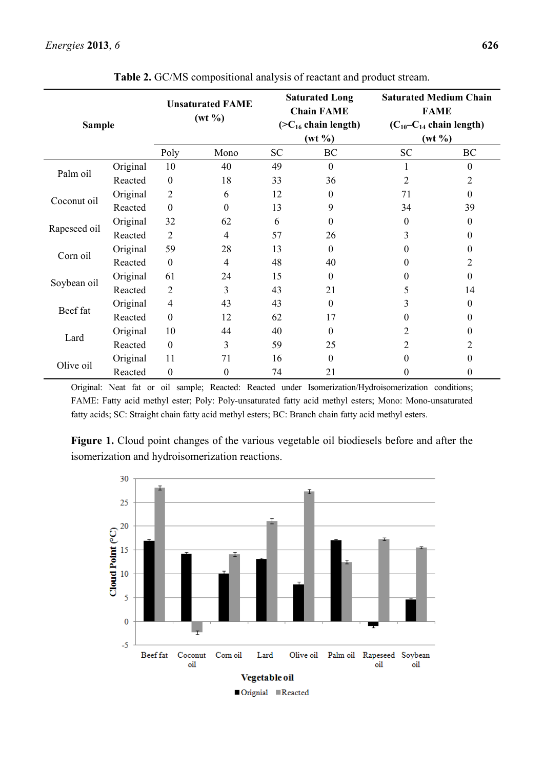| <b>Sample</b> |          |                  | <b>Unsaturated FAME</b><br>$(wt \frac{9}{6})$ |                                          | <b>Saturated Long</b><br><b>Chain FAME</b> | <b>Saturated Medium Chain</b><br><b>FAME</b>   |                  |
|---------------|----------|------------------|-----------------------------------------------|------------------------------------------|--------------------------------------------|------------------------------------------------|------------------|
|               |          |                  |                                               | $(CC_{16} chain length)$<br>$(wt \, \%)$ |                                            | $(C_{10}-C_{14}$ chain length)<br>$(wt \, \%)$ |                  |
|               |          | Poly             | Mono                                          | <b>SC</b><br>BC                          |                                            | <b>SC</b><br>BC                                |                  |
|               | Original | 10               | 40                                            | 49                                       | $\theta$                                   |                                                | $\boldsymbol{0}$ |
| Palm oil      | Reacted  | $\boldsymbol{0}$ | 18                                            | 33                                       | 36                                         | 2                                              | 2                |
|               | Original | $\overline{2}$   | 6                                             | 12                                       | $\theta$                                   | 71                                             | $\boldsymbol{0}$ |
| Coconut oil   | Reacted  | $\boldsymbol{0}$ | $\theta$                                      | 13                                       | 9                                          | 34                                             | 39               |
|               | Original | 32               | 62                                            | 6                                        | $\Omega$                                   | $\theta$                                       | $\boldsymbol{0}$ |
| Rapeseed oil  | Reacted  | $\overline{2}$   | $\overline{4}$                                | 57                                       | 26                                         | 3                                              | 0                |
|               | Original | 59               | 28                                            | 13                                       | $\theta$                                   | 0                                              | $\mathbf{0}$     |
| Corn oil      | Reacted  | $\boldsymbol{0}$ | $\overline{4}$                                | 48                                       | 40                                         | $\theta$                                       | 2                |
|               | Original | 61               | 24                                            | 15                                       | $\theta$                                   | 0                                              | $\mathbf{0}$     |
| Soybean oil   | Reacted  | $\overline{2}$   | 3                                             | 43                                       | 21                                         | 5                                              | 14               |
|               | Original | $\overline{4}$   | 43                                            | 43                                       | $\theta$                                   | 3                                              | $\mathbf{0}$     |
| Beef fat      | Reacted  | $\boldsymbol{0}$ | 12                                            | 62                                       | 17                                         | $\theta$                                       | 0                |
|               | Original | 10               | 44                                            | 40                                       | $\Omega$                                   | 2                                              | $\theta$         |
| Lard          | Reacted  | $\boldsymbol{0}$ | 3                                             | 59                                       | 25                                         | $\overline{2}$                                 | 2                |
|               | Original | 11               | 71                                            | 16                                       | $\Omega$                                   | 0                                              | 0                |
| Olive oil     | Reacted  | $\boldsymbol{0}$ | $\boldsymbol{0}$                              | 74                                       | 21                                         | 0                                              | $\boldsymbol{0}$ |

**Table 2.** GC/MS compositional analysis of reactant and product stream.

Original: Neat fat or oil sample; Reacted: Reacted under Isomerization/Hydroisomerization conditions; FAME: Fatty acid methyl ester; Poly: Poly-unsaturated fatty acid methyl esters; Mono: Mono-unsaturated fatty acids; SC: Straight chain fatty acid methyl esters; BC: Branch chain fatty acid methyl esters.

**Figure 1.** Cloud point changes of the various vegetable oil biodiesels before and after the isomerization and hydroisomerization reactions.

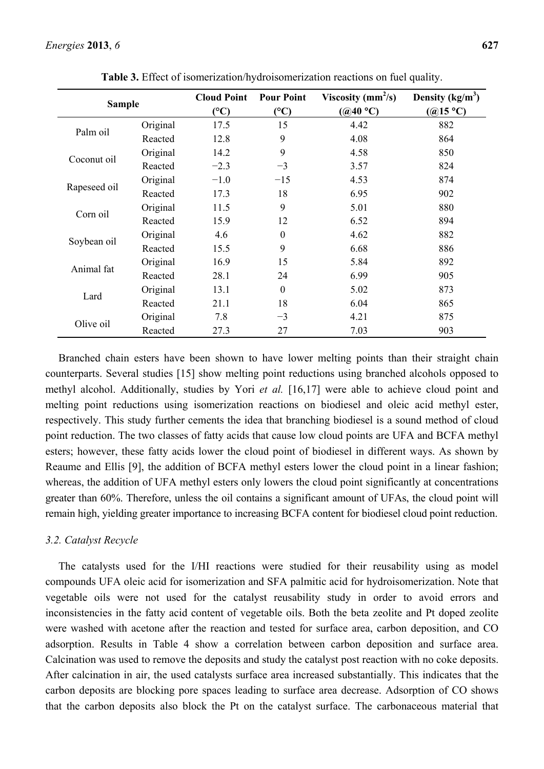| <b>Sample</b> |          | <b>Cloud Point</b><br>(C) | <b>Pour Point</b><br>$({}^{\circ}C)$ | Viscosity ( $mm^2/s$ )<br>$(Q40^{\circ}C)$ | Density $(kg/m^3)$<br>$(Q15^{\circ}C)$ |
|---------------|----------|---------------------------|--------------------------------------|--------------------------------------------|----------------------------------------|
|               | Original | 17.5                      | 15                                   | 4.42                                       | 882                                    |
| Palm oil      | Reacted  | 12.8                      | 9                                    | 4.08                                       | 864                                    |
|               | Original | 14.2                      | 9                                    | 4.58                                       | 850                                    |
| Coconut oil   | Reacted  | $-2.3$                    | $-3$                                 | 3.57                                       | 824                                    |
|               | Original | $-1.0$                    | $-15$                                | 4.53                                       | 874                                    |
| Rapeseed oil  | Reacted  | 17.3                      | 18                                   | 6.95                                       | 902                                    |
|               | Original | 11.5                      | 9                                    | 5.01                                       | 880                                    |
| Corn oil      | Reacted  | 15.9                      | 12                                   | 6.52                                       | 894                                    |
|               | Original | 4.6                       | $\boldsymbol{0}$                     | 4.62                                       | 882                                    |
| Soybean oil   | Reacted  | 15.5                      | 9                                    | 6.68                                       | 886                                    |
|               | Original | 16.9                      | 15                                   | 5.84                                       | 892                                    |
| Animal fat    | Reacted  | 28.1                      | 24                                   | 6.99                                       | 905                                    |
|               | Original | 13.1                      | $\theta$                             | 5.02                                       | 873                                    |
| Lard          | Reacted  | 21.1                      | 18                                   | 6.04                                       | 865                                    |
|               | Original | 7.8                       | $-3$                                 | 4.21                                       | 875                                    |
| Olive oil     | Reacted  | 27.3                      | 27                                   | 7.03                                       | 903                                    |

**Table 3.** Effect of isomerization/hydroisomerization reactions on fuel quality.

Branched chain esters have been shown to have lower melting points than their straight chain counterparts. Several studies [15] show melting point reductions using branched alcohols opposed to methyl alcohol. Additionally, studies by Yori *et al.* [16,17] were able to achieve cloud point and melting point reductions using isomerization reactions on biodiesel and oleic acid methyl ester, respectively. This study further cements the idea that branching biodiesel is a sound method of cloud point reduction. The two classes of fatty acids that cause low cloud points are UFA and BCFA methyl esters; however, these fatty acids lower the cloud point of biodiesel in different ways. As shown by Reaume and Ellis [9], the addition of BCFA methyl esters lower the cloud point in a linear fashion; whereas, the addition of UFA methyl esters only lowers the cloud point significantly at concentrations greater than 60%. Therefore, unless the oil contains a significant amount of UFAs, the cloud point will remain high, yielding greater importance to increasing BCFA content for biodiesel cloud point reduction.

# *3.2. Catalyst Recycle*

The catalysts used for the I/HI reactions were studied for their reusability using as model compounds UFA oleic acid for isomerization and SFA palmitic acid for hydroisomerization. Note that vegetable oils were not used for the catalyst reusability study in order to avoid errors and inconsistencies in the fatty acid content of vegetable oils. Both the beta zeolite and Pt doped zeolite were washed with acetone after the reaction and tested for surface area, carbon deposition, and CO adsorption. Results in Table 4 show a correlation between carbon deposition and surface area. Calcination was used to remove the deposits and study the catalyst post reaction with no coke deposits. After calcination in air, the used catalysts surface area increased substantially. This indicates that the carbon deposits are blocking pore spaces leading to surface area decrease. Adsorption of CO shows that the carbon deposits also block the Pt on the catalyst surface. The carbonaceous material that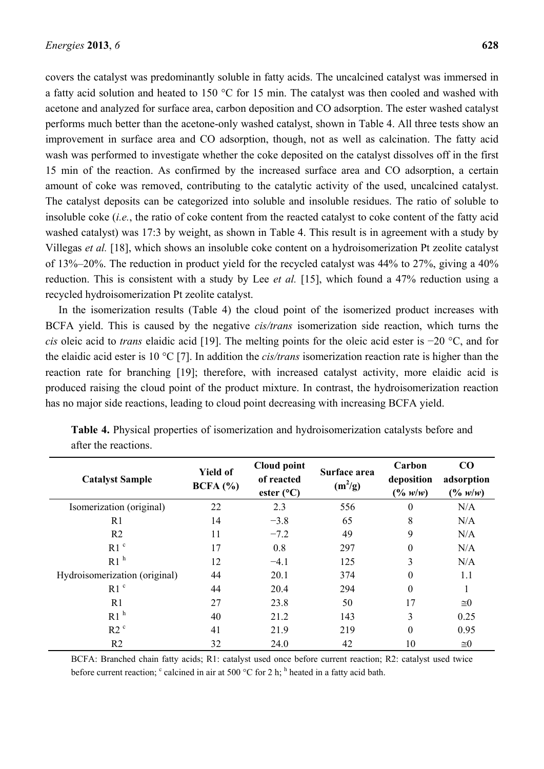covers the catalyst was predominantly soluble in fatty acids. The uncalcined catalyst was immersed in a fatty acid solution and heated to 150  $\degree$ C for 15 min. The catalyst was then cooled and washed with acetone and analyzed for surface area, carbon deposition and CO adsorption. The ester washed catalyst performs much better than the acetone-only washed catalyst, shown in Table 4. All three tests show an improvement in surface area and CO adsorption, though, not as well as calcination. The fatty acid wash was performed to investigate whether the coke deposited on the catalyst dissolves off in the first 15 min of the reaction. As confirmed by the increased surface area and CO adsorption, a certain amount of coke was removed, contributing to the catalytic activity of the used, uncalcined catalyst. The catalyst deposits can be categorized into soluble and insoluble residues. The ratio of soluble to insoluble coke (*i.e.*, the ratio of coke content from the reacted catalyst to coke content of the fatty acid washed catalyst) was 17:3 by weight, as shown in Table 4. This result is in agreement with a study by Villegas *et al.* [18], which shows an insoluble coke content on a hydroisomerization Pt zeolite catalyst of 13%–20%. The reduction in product yield for the recycled catalyst was 44% to 27%, giving a 40% reduction. This is consistent with a study by Lee *et al.* [15], which found a 47% reduction using a recycled hydroisomerization Pt zeolite catalyst.

In the isomerization results (Table 4) the cloud point of the isomerized product increases with BCFA yield. This is caused by the negative *cis/trans* isomerization side reaction, which turns the *cis* oleic acid to *trans* elaidic acid [19]. The melting points for the oleic acid ester is −20 °C, and for the elaidic acid ester is 10  $\degree$ C [7]. In addition the *cis/trans* isomerization reaction rate is higher than the reaction rate for branching [19]; therefore, with increased catalyst activity, more elaidic acid is produced raising the cloud point of the product mixture. In contrast, the hydroisomerization reaction has no major side reactions, leading to cloud point decreasing with increasing BCFA yield.

| <b>Catalyst Sample</b>        | <b>Yield of</b><br>BCFA (%) | Cloud point<br>of reacted<br>ester $(^{\circ}C)$ | Surface area<br>$(m^2/g)$ | Carbon<br>deposition<br>$(\frac{0}{w} w/w)$ | CO<br>adsorption<br>$(^{0}/_{0} w/w)$ |
|-------------------------------|-----------------------------|--------------------------------------------------|---------------------------|---------------------------------------------|---------------------------------------|
| Isomerization (original)      | 22                          | 2.3                                              | 556                       | $\boldsymbol{0}$                            | N/A                                   |
| R <sub>1</sub>                | 14                          | $-3.8$                                           | 65                        | 8                                           | N/A                                   |
| R <sub>2</sub>                | 11                          | $-7.2$                                           | 49                        | 9                                           | N/A                                   |
| R1 <sup>c</sup>               | 17                          | 0.8                                              | 297                       | $\boldsymbol{0}$                            | N/A                                   |
| R1 <sup>h</sup>               | 12                          | $-4.1$                                           | 125                       | 3                                           | N/A                                   |
| Hydroisomerization (original) | 44                          | 20.1                                             | 374                       | $\theta$                                    | 1.1                                   |
| R1 <sup>c</sup>               | 44                          | 20.4                                             | 294                       | $\boldsymbol{0}$                            |                                       |
| R1                            | 27                          | 23.8                                             | 50                        | 17                                          | $\cong 0$                             |
| R1 <sup>h</sup>               | 40                          | 21.2                                             | 143                       | $\overline{3}$                              | 0.25                                  |
| R2 <sup>c</sup>               | 41                          | 21.9                                             | 219                       | $\boldsymbol{0}$                            | 0.95                                  |
| R <sub>2</sub>                | 32                          | 24.0                                             | 42                        | 10                                          | $\cong 0$                             |

**Table 4.** Physical properties of isomerization and hydroisomerization catalysts before and after the reactions.

BCFA: Branched chain fatty acids; R1: catalyst used once before current reaction; R2: catalyst used twice before current reaction;  $\degree$  calcined in air at 500  $\degree$ C for 2 h; <sup>h</sup> heated in a fatty acid bath.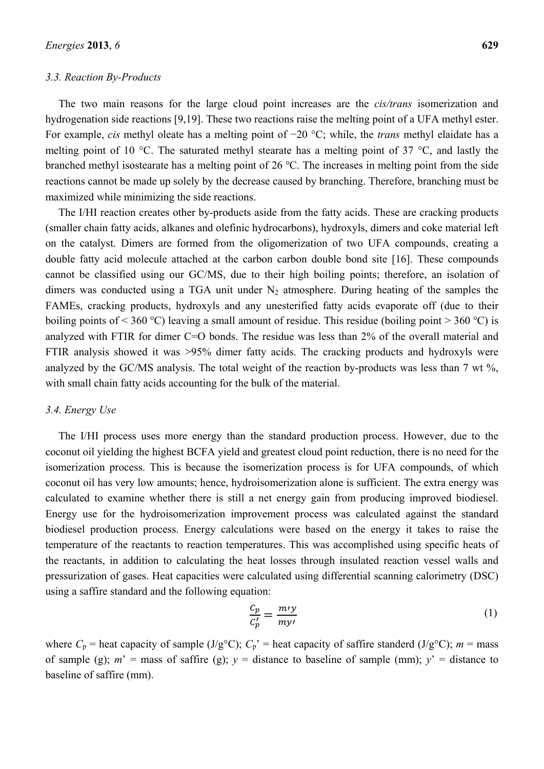### *3.3. Reaction By-Products*

The two main reasons for the large cloud point increases are the *cis/trans* isomerization and hydrogenation side reactions [9,19]. These two reactions raise the melting point of a UFA methyl ester. For example, *cis* methyl oleate has a melting point of −20 °C; while, the *trans* methyl elaidate has a melting point of 10 °C. The saturated methyl stearate has a melting point of 37 °C, and lastly the branched methyl isostearate has a melting point of 26 °C. The increases in melting point from the side reactions cannot be made up solely by the decrease caused by branching. Therefore, branching must be maximized while minimizing the side reactions.

The I/HI reaction creates other by-products aside from the fatty acids. These are cracking products (smaller chain fatty acids, alkanes and olefinic hydrocarbons), hydroxyls, dimers and coke material left on the catalyst. Dimers are formed from the oligomerization of two UFA compounds, creating a double fatty acid molecule attached at the carbon carbon double bond site [16]. These compounds cannot be classified using our GC/MS, due to their high boiling points; therefore, an isolation of dimers was conducted using a TGA unit under  $N_2$  atmosphere. During heating of the samples the FAMEs, cracking products, hydroxyls and any unesterified fatty acids evaporate off (due to their boiling points of < 360 °C) leaving a small amount of residue. This residue (boiling point > 360 °C) is analyzed with FTIR for dimer C=O bonds. The residue was less than 2% of the overall material and FTIR analysis showed it was >95% dimer fatty acids. The cracking products and hydroxyls were analyzed by the GC/MS analysis. The total weight of the reaction by-products was less than 7 wt %, with small chain fatty acids accounting for the bulk of the material.

#### *3.4. Energy Use*

The I/HI process uses more energy than the standard production process. However, due to the coconut oil yielding the highest BCFA yield and greatest cloud point reduction, there is no need for the isomerization process. This is because the isomerization process is for UFA compounds, of which coconut oil has very low amounts; hence, hydroisomerization alone is sufficient. The extra energy was calculated to examine whether there is still a net energy gain from producing improved biodiesel. Energy use for the hydroisomerization improvement process was calculated against the standard biodiesel production process. Energy calculations were based on the energy it takes to raise the temperature of the reactants to reaction temperatures. This was accomplished using specific heats of the reactants, in addition to calculating the heat losses through insulated reaction vessel walls and pressurization of gases. Heat capacities were calculated using differential scanning calorimetry (DSC) using a saffire standard and the following equation:

$$
\frac{c_p}{c_p'} = \frac{m\gamma}{m\gamma'}
$$
 (1)

where  $C_p$  = heat capacity of sample (J/g<sup>o</sup>C);  $C_p$ <sup>\*</sup> = heat capacity of saffire standerd (J/g<sup>o</sup>C); *m* = mass of sample (g);  $m'$  = mass of saffire (g);  $y$  = distance to baseline of sample (mm);  $y'$  = distance to baseline of saffire (mm).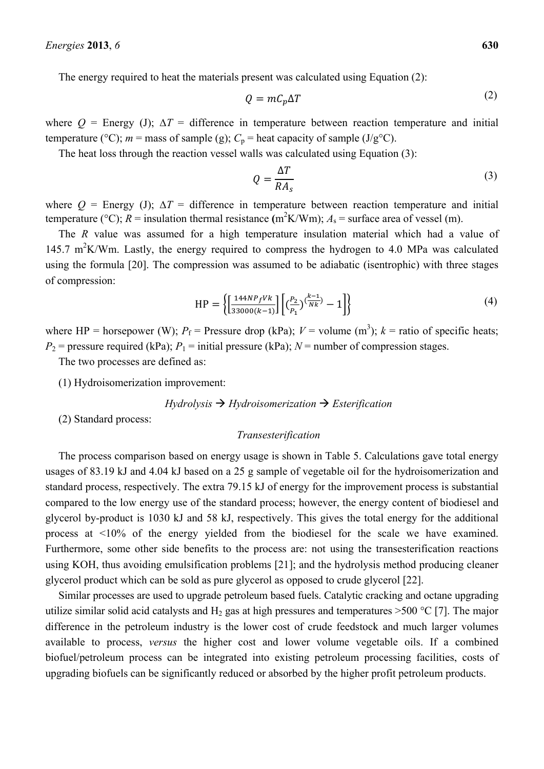The energy required to heat the materials present was calculated using Equation (2):

$$
Q = mC_p \Delta T \tag{2}
$$

where  $Q =$  Energy (J);  $\Delta T =$  difference in temperature between reaction temperature and initial temperature (°C);  $m =$  mass of sample (g);  $C_p$  = heat capacity of sample (J/g°C).

The heat loss through the reaction vessel walls was calculated using Equation (3):

$$
Q = \frac{\Delta T}{R A_s} \tag{3}
$$

where  $Q =$  Energy (J);  $\Delta T =$  difference in temperature between reaction temperature and initial temperature (°C);  $R =$  insulation thermal resistance (m<sup>2</sup>K/Wm);  $A_s =$  surface area of vessel (m).

The *R* value was assumed for a high temperature insulation material which had a value of 145.7 m<sup>2</sup>K/Wm. Lastly, the energy required to compress the hydrogen to 4.0 MPa was calculated using the formula [20]. The compression was assumed to be adiabatic (isentrophic) with three stages of compression:

$$
HP = \left\{ \left[ \frac{144NP_f Vk}{33000(k-1)} \right] \left[ \left( \frac{P_2}{P_1} \right)^{\left( \frac{k-1}{Nk} \right)} - 1 \right] \right\}
$$
(4)

where HP = horsepower (W);  $P_f$  = Pressure drop (kPa);  $V$  = volume (m<sup>3</sup>);  $k$  = ratio of specific heats;  $P_2$  = pressure required (kPa);  $P_1$  = initial pressure (kPa);  $N$  = number of compression stages.

The two processes are defined as:

(1) Hydroisomerization improvement:

$$
Hydrolysis \rightarrow Hydroisomerization \rightarrow Esterification
$$

(2) Standard process:

#### *Transesterification*

The process comparison based on energy usage is shown in Table 5. Calculations gave total energy usages of 83.19 kJ and 4.04 kJ based on a 25 g sample of vegetable oil for the hydroisomerization and standard process, respectively. The extra 79.15 kJ of energy for the improvement process is substantial compared to the low energy use of the standard process; however, the energy content of biodiesel and glycerol by-product is 1030 kJ and 58 kJ, respectively. This gives the total energy for the additional process at <10% of the energy yielded from the biodiesel for the scale we have examined. Furthermore, some other side benefits to the process are: not using the transesterification reactions using KOH, thus avoiding emulsification problems [21]; and the hydrolysis method producing cleaner glycerol product which can be sold as pure glycerol as opposed to crude glycerol [22].

Similar processes are used to upgrade petroleum based fuels. Catalytic cracking and octane upgrading utilize similar solid acid catalysts and H<sub>2</sub> gas at high pressures and temperatures >500 °C [7]. The major difference in the petroleum industry is the lower cost of crude feedstock and much larger volumes available to process, *versus* the higher cost and lower volume vegetable oils. If a combined biofuel/petroleum process can be integrated into existing petroleum processing facilities, costs of upgrading biofuels can be significantly reduced or absorbed by the higher profit petroleum products.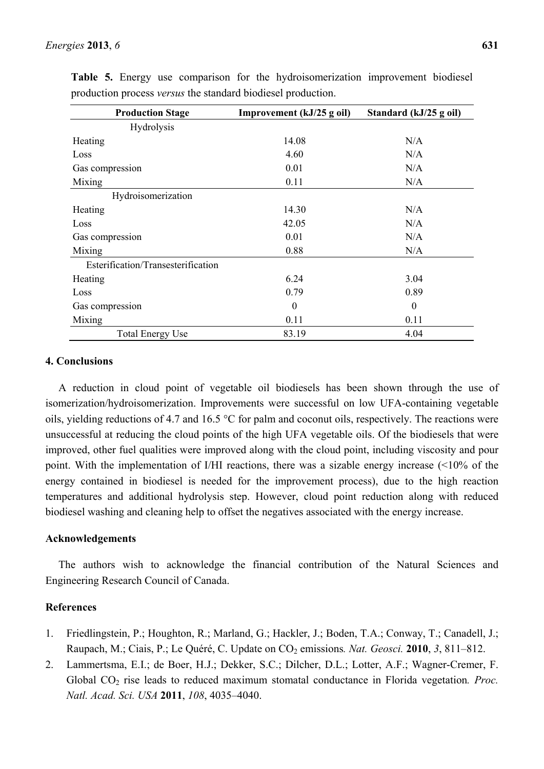| <b>Production Stage</b>            | Improvement (kJ/25 g oil) | Standard (kJ/25 g oil) |  |
|------------------------------------|---------------------------|------------------------|--|
| Hydrolysis                         |                           |                        |  |
| Heating                            | 14.08                     | N/A                    |  |
| Loss                               | 4.60                      | N/A                    |  |
| Gas compression                    | 0.01                      | N/A                    |  |
| Mixing                             | 0.11                      | N/A                    |  |
| Hydroisomerization                 |                           |                        |  |
| Heating                            | 14.30                     | N/A                    |  |
| Loss                               | 42.05                     | N/A                    |  |
| Gas compression                    | 0.01                      | N/A                    |  |
| Mixing                             | 0.88                      | N/A                    |  |
| Esterification/Transesterification |                           |                        |  |
| Heating                            | 6.24                      | 3.04                   |  |
| Loss                               | 0.79                      | 0.89                   |  |
| Gas compression                    | $\theta$                  | $\boldsymbol{0}$       |  |
| Mixing                             | 0.11                      | 0.11                   |  |
| <b>Total Energy Use</b>            | 83.19                     | 4.04                   |  |

**Table 5.** Energy use comparison for the hydroisomerization improvement biodiesel production process *versus* the standard biodiesel production.

# **4. Conclusions**

A reduction in cloud point of vegetable oil biodiesels has been shown through the use of isomerization/hydroisomerization. Improvements were successful on low UFA-containing vegetable oils, yielding reductions of 4.7 and 16.5  $\degree$ C for palm and coconut oils, respectively. The reactions were unsuccessful at reducing the cloud points of the high UFA vegetable oils. Of the biodiesels that were improved, other fuel qualities were improved along with the cloud point, including viscosity and pour point. With the implementation of I/HI reactions, there was a sizable energy increase (<10% of the energy contained in biodiesel is needed for the improvement process), due to the high reaction temperatures and additional hydrolysis step. However, cloud point reduction along with reduced biodiesel washing and cleaning help to offset the negatives associated with the energy increase.

# **Acknowledgements**

The authors wish to acknowledge the financial contribution of the Natural Sciences and Engineering Research Council of Canada.

# **References**

- 1. Friedlingstein, P.; Houghton, R.; Marland, G.; Hackler, J.; Boden, T.A.; Conway, T.; Canadell, J.; Raupach, M.; Ciais, P.; Le Quéré, C. Update on CO<sub>2</sub> emissions. Nat. Geosci. 2010, 3, 811–812.
- 2. Lammertsma, E.I.; de Boer, H.J.; Dekker, S.C.; Dilcher, D.L.; Lotter, A.F.; Wagner-Cremer, F. Global CO<sub>2</sub> rise leads to reduced maximum stomatal conductance in Florida vegetation. *Proc. Natl. Acad. Sci. USA* **2011**, *108*, 4035–4040.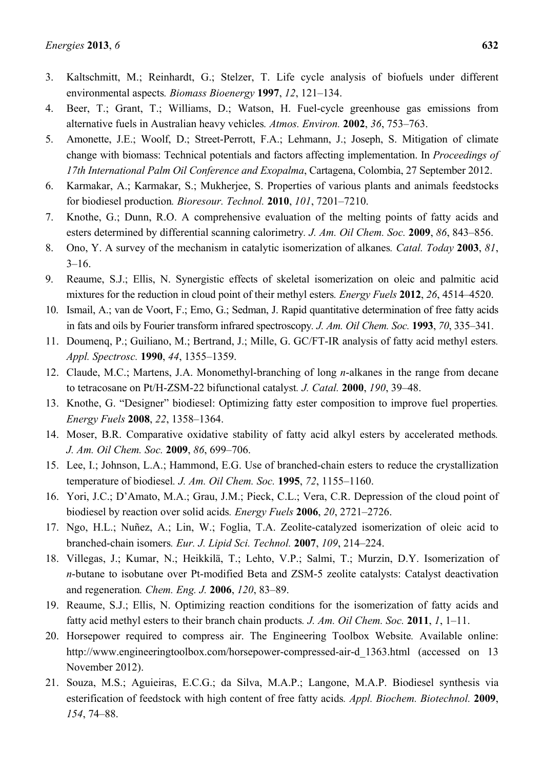- 3. Kaltschmitt, M.; Reinhardt, G.; Stelzer, T. Life cycle analysis of biofuels under different environmental aspects*. Biomass Bioenergy* **1997**, *12*, 121–134.
- 4. Beer, T.; Grant, T.; Williams, D.; Watson, H. Fuel-cycle greenhouse gas emissions from alternative fuels in Australian heavy vehicles*. Atmos. Environ.* **2002**, *36*, 753–763.
- 5. Amonette, J.E.; Woolf, D.; Street-Perrott, F.A.; Lehmann, J.; Joseph, S. Mitigation of climate change with biomass: Technical potentials and factors affecting implementation. In *Proceedings of 17th International Palm Oil Conference and Exopalma*, Cartagena, Colombia, 27 September 2012.
- 6. Karmakar, A.; Karmakar, S.; Mukherjee, S. Properties of various plants and animals feedstocks for biodiesel production*. Bioresour. Technol.* **2010**, *101*, 7201–7210.
- 7. Knothe, G.; Dunn, R.O. A comprehensive evaluation of the melting points of fatty acids and esters determined by differential scanning calorimetry*. J. Am. Oil Chem. Soc.* **2009**, *86*, 843–856.
- 8. Ono, Y. A survey of the mechanism in catalytic isomerization of alkanes*. Catal. Today* **2003**, *81*,  $3-16$ .
- 9. Reaume, S.J.; Ellis, N. Synergistic effects of skeletal isomerization on oleic and palmitic acid mixtures for the reduction in cloud point of their methyl esters*. Energy Fuels* **2012**, *26*, 4514–4520.
- 10. Ismail, A.; van de Voort, F.; Emo, G.; Sedman, J. Rapid quantitative determination of free fatty acids in fats and oils by Fourier transform infrared spectroscopy*. J. Am. Oil Chem. Soc.* **1993**, *70*, 335–341.
- 11. Doumenq, P.; Guiliano, M.; Bertrand, J.; Mille, G. GC/FT-IR analysis of fatty acid methyl esters*. Appl. Spectrosc.* **1990**, *44*, 1355–1359.
- 12. Claude, M.C.; Martens, J.A. Monomethyl-branching of long *n*-alkanes in the range from decane to tetracosane on Pt/H-ZSM-22 bifunctional catalyst*. J. Catal.* **2000**, *190*, 39–48.
- 13. Knothe, G. "Designer" biodiesel: Optimizing fatty ester composition to improve fuel properties*. Energy Fuels* **2008**, *22*, 1358–1364.
- 14. Moser, B.R. Comparative oxidative stability of fatty acid alkyl esters by accelerated methods*. J. Am. Oil Chem. Soc.* **2009**, *86*, 699–706.
- 15. Lee, I.; Johnson, L.A.; Hammond, E.G. Use of branched-chain esters to reduce the crystallization temperature of biodiesel*. J. Am. Oil Chem. Soc.* **1995**, *72*, 1155–1160.
- 16. Yori, J.C.; D'Amato, M.A.; Grau, J.M.; Pieck, C.L.; Vera, C.R. Depression of the cloud point of biodiesel by reaction over solid acids*. Energy Fuels* **2006**, *20*, 2721–2726.
- 17. Ngo, H.L.; Nuñez, A.; Lin, W.; Foglia, T.A. Zeolite-catalyzed isomerization of oleic acid to branched-chain isomers*. Eur. J. Lipid Sci. Technol.* **2007**, *109*, 214–224.
- 18. Villegas, J.; Kumar, N.; Heikkilä, T.; Lehto, V.P.; Salmi, T.; Murzin, D.Y. Isomerization of *n*-butane to isobutane over Pt-modified Beta and ZSM-5 zeolite catalysts: Catalyst deactivation and regeneration*. Chem. Eng. J.* **2006**, *120*, 83–89.
- 19. Reaume, S.J.; Ellis, N. Optimizing reaction conditions for the isomerization of fatty acids and fatty acid methyl esters to their branch chain products*. J. Am. Oil Chem. Soc.* **2011**, *1*, 1–11.
- 20. Horsepower required to compress air. The Engineering Toolbox Website*.* Available online: http://www.engineeringtoolbox.com/horsepower-compressed-air-d\_1363.html (accessed on 13 November 2012).
- 21. Souza, M.S.; Aguieiras, E.C.G.; da Silva, M.A.P.; Langone, M.A.P. Biodiesel synthesis via esterification of feedstock with high content of free fatty acids*. Appl. Biochem. Biotechnol.* **2009**, *154*, 74–88.